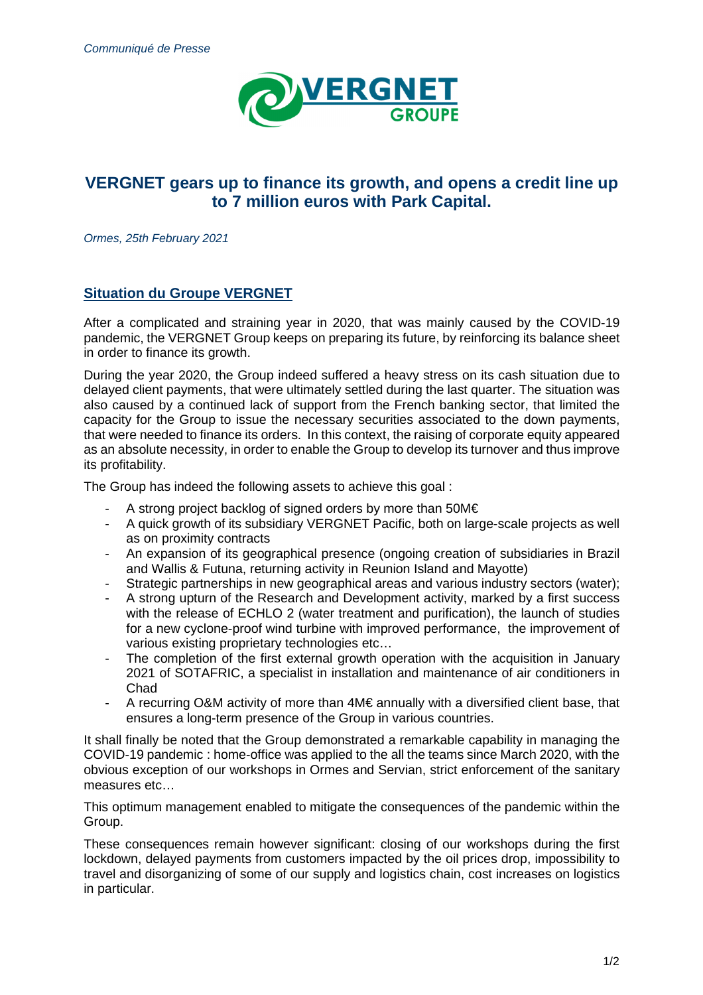

# **VERGNET gears up to finance its growth, and opens a credit line up to 7 million euros with Park Capital.**

Ormes, 25th February 2021

### **Situation du Groupe VERGNET**

After a complicated and straining year in 2020, that was mainly caused by the COVID-19 pandemic, the VERGNET Group keeps on preparing its future, by reinforcing its balance sheet in order to finance its growth.

During the year 2020, the Group indeed suffered a heavy stress on its cash situation due to delayed client payments, that were ultimately settled during the last quarter. The situation was also caused by a continued lack of support from the French banking sector, that limited the capacity for the Group to issue the necessary securities associated to the down payments, that were needed to finance its orders. In this context, the raising of corporate equity appeared as an absolute necessity, in order to enable the Group to develop its turnover and thus improve its profitability.

The Group has indeed the following assets to achieve this goal :

- A strong project backlog of signed orders by more than  $50\text{M}\epsilon$
- A quick growth of its subsidiary VERGNET Pacific, both on large-scale projects as well as on proximity contracts
- An expansion of its geographical presence (ongoing creation of subsidiaries in Brazil and Wallis & Futuna, returning activity in Reunion Island and Mayotte)
- Strategic partnerships in new geographical areas and various industry sectors (water);
- A strong upturn of the Research and Development activity, marked by a first success with the release of ECHLO 2 (water treatment and purification), the launch of studies for a new cyclone-proof wind turbine with improved performance, the improvement of various existing proprietary technologies etc…
- The completion of the first external growth operation with the acquisition in January 2021 of SOTAFRIC, a specialist in installation and maintenance of air conditioners in Chad
- A recurring O&M activity of more than 4M€ annually with a diversified client base, that ensures a long-term presence of the Group in various countries.

It shall finally be noted that the Group demonstrated a remarkable capability in managing the COVID-19 pandemic : home-office was applied to the all the teams since March 2020, with the obvious exception of our workshops in Ormes and Servian, strict enforcement of the sanitary measures etc…

This optimum management enabled to mitigate the consequences of the pandemic within the Group.

These consequences remain however significant: closing of our workshops during the first lockdown, delayed payments from customers impacted by the oil prices drop, impossibility to travel and disorganizing of some of our supply and logistics chain, cost increases on logistics in particular.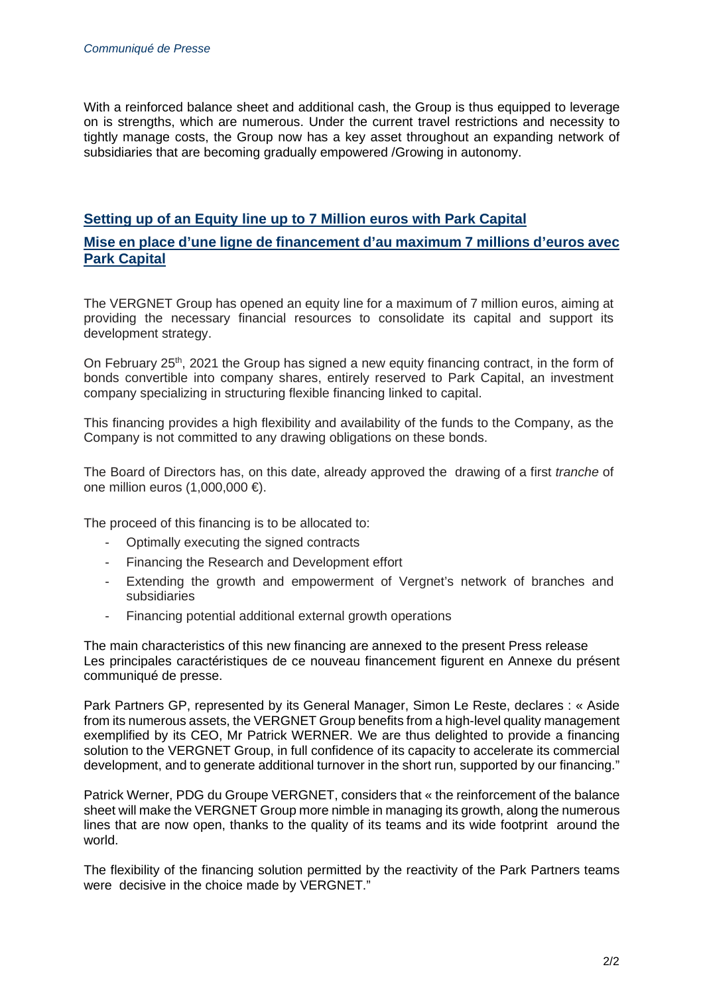With a reinforced balance sheet and additional cash, the Group is thus equipped to leverage on is strengths, which are numerous. Under the current travel restrictions and necessity to tightly manage costs, the Group now has a key asset throughout an expanding network of subsidiaries that are becoming gradually empowered /Growing in autonomy.

## **Setting up of an Equity line up to 7 Million euros with Park Capital**

### **Mise en place d'une ligne de financement d'au maximum 7 millions d'euros avec Park Capital**

The VERGNET Group has opened an equity line for a maximum of 7 million euros, aiming at providing the necessary financial resources to consolidate its capital and support its development strategy.

On February 25<sup>th</sup>, 2021 the Group has signed a new equity financing contract, in the form of bonds convertible into company shares, entirely reserved to Park Capital, an investment company specializing in structuring flexible financing linked to capital.

This financing provides a high flexibility and availability of the funds to the Company, as the Company is not committed to any drawing obligations on these bonds.

The Board of Directors has, on this date, already approved the drawing of a first *tranche* of one million euros (1,000,000 €).

The proceed of this financing is to be allocated to:

- Optimally executing the signed contracts
- Financing the Research and Development effort
- Extending the growth and empowerment of Vergnet's network of branches and subsidiaries
- Financing potential additional external growth operations

The main characteristics of this new financing are annexed to the present Press release Les principales caractéristiques de ce nouveau financement figurent en Annexe du présent communiqué de presse.

Park Partners GP, represented by its General Manager, Simon Le Reste, declares : « Aside from its numerous assets, the VERGNET Group benefits from a high-level quality management exemplified by its CEO, Mr Patrick WERNER. We are thus delighted to provide a financing solution to the VERGNET Group, in full confidence of its capacity to accelerate its commercial development, and to generate additional turnover in the short run, supported by our financing."

Patrick Werner, PDG du Groupe VERGNET, considers that « the reinforcement of the balance sheet will make the VERGNET Group more nimble in managing its growth, along the numerous lines that are now open, thanks to the quality of its teams and its wide footprint around the world.

The flexibility of the financing solution permitted by the reactivity of the Park Partners teams were decisive in the choice made by VERGNET."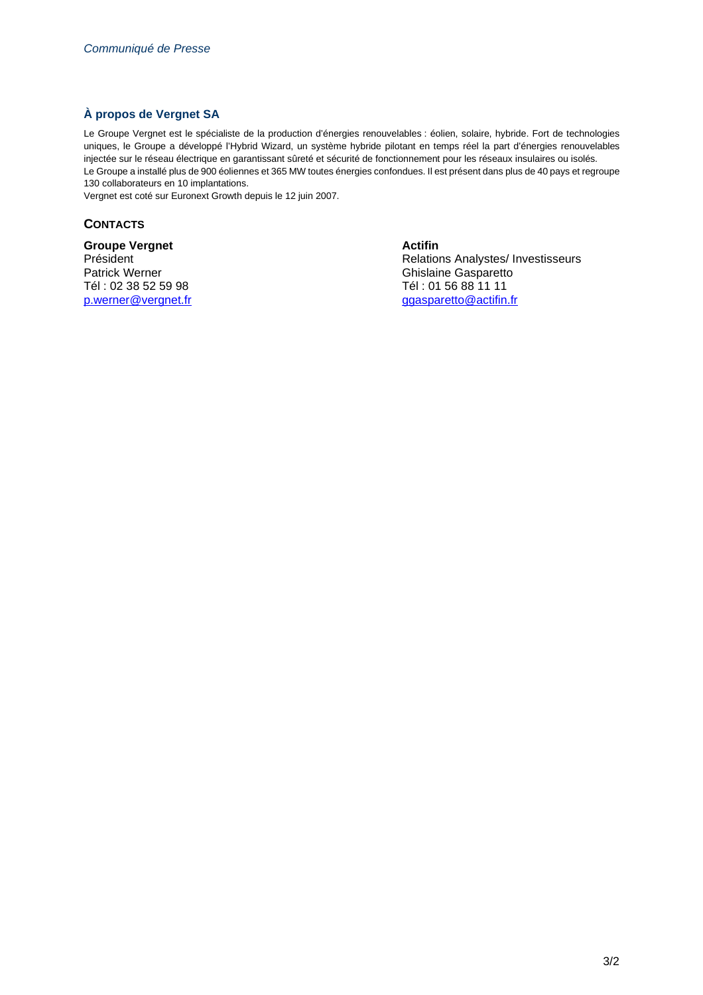### **À propos de Vergnet SA**

Le Groupe Vergnet est le spécialiste de la production d'énergies renouvelables : éolien, solaire, hybride. Fort de technologies uniques, le Groupe a développé l'Hybrid Wizard, un système hybride pilotant en temps réel la part d'énergies renouvelables injectée sur le réseau électrique en garantissant sûreté et sécurité de fonctionnement pour les réseaux insulaires ou isolés. Le Groupe a installé plus de 900 éoliennes et 365 MW toutes énergies confondues. Il est présent dans plus de 40 pays et regroupe 130 collaborateurs en 10 implantations.

Vergnet est coté sur Euronext Growth depuis le 12 juin 2007.

#### **CONTACTS**

**Groupe Vergnet Actifin** Tél : 02 38 52 59 98 Tél : 01 56 88 11 11

Président **Analystes/ Investisseurs Relations Analystes/ Investisseurs** Patrick Werner **China and China and China and China and China and China and China and China and China and China and China and China and China and China and China and China and China and China and China and China and China** p.werner@vergnet.fr and a set of the set of the gasparetto actifin.fr